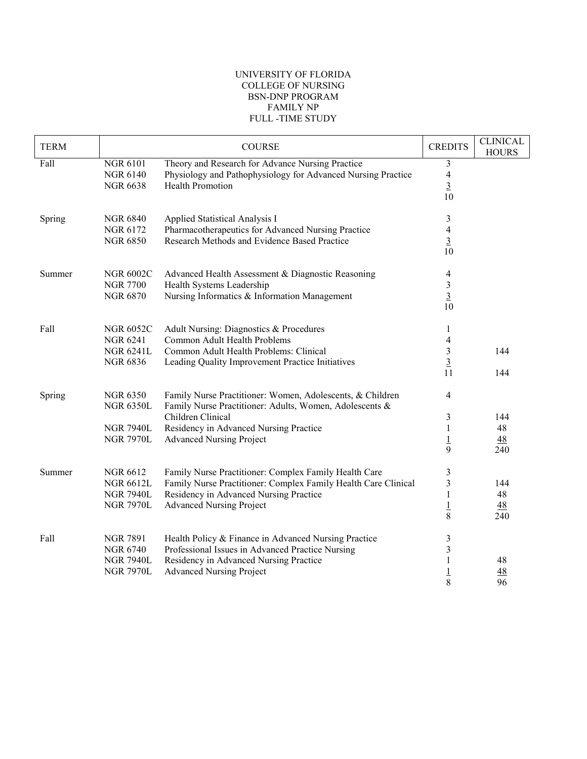## UNIVERSITY OF FLORIDA COLLEGE OF NURSING BSN-DNP PROGRAM FAMILY NP FULL -TIME STUDY

| <b>TERM</b> |                                                                             | <b>COURSE</b>                                                                                                                                                                                                          | <b>CREDITS</b>                                                                 | <b>CLINICAL</b><br><b>HOURS</b>    |
|-------------|-----------------------------------------------------------------------------|------------------------------------------------------------------------------------------------------------------------------------------------------------------------------------------------------------------------|--------------------------------------------------------------------------------|------------------------------------|
| Fall        | <b>NGR 6101</b><br><b>NGR 6140</b><br><b>NGR 6638</b>                       | Theory and Research for Advance Nursing Practice<br>Physiology and Pathophysiology for Advanced Nursing Practice<br><b>Health Promotion</b>                                                                            | $\mathfrak{Z}$<br>$\overline{4}$<br>$\overline{3}$<br>10                       |                                    |
| Spring      | <b>NGR 6840</b><br><b>NGR 6172</b><br><b>NGR 6850</b>                       | Applied Statistical Analysis I<br>Pharmacotherapeutics for Advanced Nursing Practice<br>Research Methods and Evidence Based Practice                                                                                   | $\mathfrak{Z}$<br>$\overline{\mathcal{A}}$<br>$\frac{3}{10}$                   |                                    |
| Summer      | <b>NGR 6002C</b><br><b>NGR 7700</b><br><b>NGR 6870</b>                      | Advanced Health Assessment & Diagnostic Reasoning<br>Health Systems Leadership<br>Nursing Informatics & Information Management                                                                                         | 4<br>$\mathfrak{Z}$<br>$\overline{3}$<br>10                                    |                                    |
| Fall        | <b>NGR 6052C</b><br><b>NGR 6241</b><br><b>NGR 6241L</b><br><b>NGR 6836</b>  | Adult Nursing: Diagnostics & Procedures<br>Common Adult Health Problems<br>Common Adult Health Problems: Clinical<br>Leading Quality Improvement Practice Initiatives                                                  | $\mathbf{1}$<br>$\overline{\mathcal{A}}$<br>$\sqrt{3}$<br>$\overline{3}$<br>11 | 144<br>144                         |
| Spring      | <b>NGR 6350</b><br><b>NGR 6350L</b><br><b>NGR 7940L</b><br><b>NGR 7970L</b> | Family Nurse Practitioner: Women, Adolescents, & Children<br>Family Nurse Practitioner: Adults, Women, Adolescents &<br>Children Clinical<br>Residency in Advanced Nursing Practice<br><b>Advanced Nursing Project</b> | $\overline{4}$<br>3<br>1<br>$\overline{1}$<br>9                                | 144<br>48<br><u>48</u><br>240      |
| Summer      | <b>NGR 6612</b><br><b>NGR 6612L</b><br><b>NGR 7940L</b><br><b>NGR 7970L</b> | Family Nurse Practitioner: Complex Family Health Care<br>Family Nurse Practitioner: Complex Family Health Care Clinical<br>Residency in Advanced Nursing Practice<br><b>Advanced Nursing Project</b>                   | $\mathfrak{Z}$<br>$\mathfrak{Z}$<br>$\,1$<br>$\frac{1}{8}$                     | 144<br>48<br>$\frac{48}{5}$<br>240 |
| Fall        | <b>NGR 7891</b><br><b>NGR 6740</b><br><b>NGR 7940L</b><br><b>NGR 7970L</b>  | Health Policy & Finance in Advanced Nursing Practice<br>Professional Issues in Advanced Practice Nursing<br>Residency in Advanced Nursing Practice<br><b>Advanced Nursing Project</b>                                  | $\mathfrak{Z}$<br>3<br>1<br>$\overline{1}$<br>8                                | 48<br>48<br>96                     |